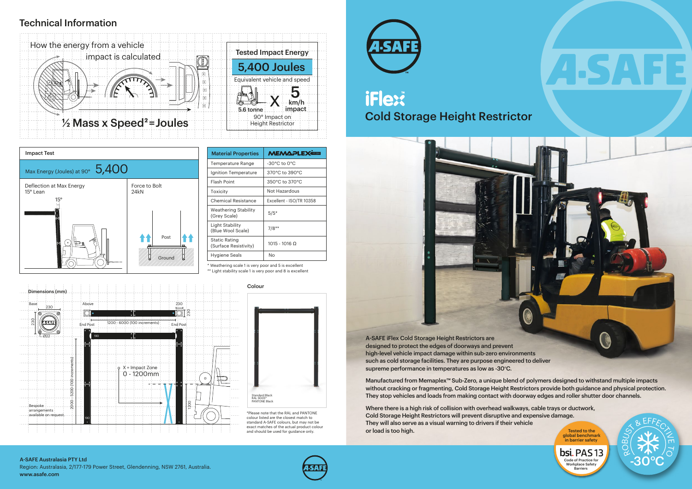# **TM** Cold Storage Height Restrictor

# Technical Information

\* Weathering scale 1 is very poor and 5 is excellent \*\* Light stability scale 1 is very poor and 8 is excellent

> \*Please note that the RAL and PANTONE colour listed are the closest match to standard A-SAFE colours, but may not be exact matches of the actual product colour and should be used for guidance only.









| <b>Material Properties</b>                    | <b>MEMAPLEX</b>                  |
|-----------------------------------------------|----------------------------------|
| Temperature Range                             | $-30^{\circ}$ C to $0^{\circ}$ C |
| Ignition Temperature                          | 370°C to 390°C                   |
| <b>Flash Point</b>                            | 350°C to 370°C                   |
| Toxicity                                      | Not Hazardous                    |
| Chemical Resistance                           | Excellent - ISO/TR 10358         |
| Weathering Stability<br>(Grey Scale)          | $5/5*$                           |
| Light Stability<br>(Blue Wool Scale)          | $7/8**$                          |
| <b>Static Rating</b><br>(Surface Resistivity) | $1015 - 1016$ Ω                  |
| Hygiene Seals                                 | Nο                               |
|                                               |                                  |



Region: Australasia, 2/177-179 Power Street, Glendenning, NSW 2761, Australia. www.asafe.com







high-level vehicle impact damage within sub-zero environments such as cold storage facilities. They are purpose engineered to deliver supreme performance in temperatures as low as -30°C.

Manufactured from Memaplex™ Sub-Zero, a unique blend of polymers designed to withstand multiple impacts without cracking or fragmenting, Cold Storage Height Restrictors provide both guidance and physical protection. They stop vehicles and loads from making contact with doorway edges and roller shutter door channels.

Where there is a high risk of collision with overhead walkways, cable trays or ductwork, Cold Storage Height Restrictors will prevent disruptive and expensive damage. They will also serve as a visual warning to drivers if their vehicle or load is too high.

Tested to the global benchmark in barrier safety



### A-SAFE Australasia PTY Ltd